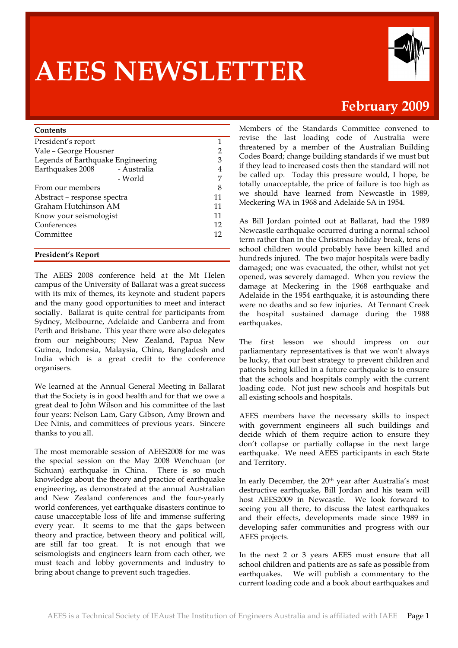# **AEES NEWSLETTER**



### **February 2009**

#### **Contents**

| President's report                |    |  |  |  |  |
|-----------------------------------|----|--|--|--|--|
| Vale - George Housner             |    |  |  |  |  |
| Legends of Earthquake Engineering | З  |  |  |  |  |
| Earthquakes 2008<br>- Australia   | 4  |  |  |  |  |
| - World                           |    |  |  |  |  |
| From our members                  | 8  |  |  |  |  |
| Abstract - response spectra       | 11 |  |  |  |  |
| Graham Hutchinson AM              | 11 |  |  |  |  |
| Know your seismologist            | 11 |  |  |  |  |
| Conferences                       | 12 |  |  |  |  |
| Committee                         | 12 |  |  |  |  |
|                                   |    |  |  |  |  |

#### **President's Report**

The AEES 2008 conference held at the Mt Helen campus of the University of Ballarat was a great success with its mix of themes, its keynote and student papers and the many good opportunities to meet and interact socially. Ballarat is quite central for participants from Sydney, Melbourne, Adelaide and Canberra and from Perth and Brisbane. This year there were also delegates from our neighbours; New Zealand, Papua New Guinea, Indonesia, Malaysia, China, Bangladesh and India which is a great credit to the conference organisers.

We learned at the Annual General Meeting in Ballarat that the Society is in good health and for that we owe a great deal to John Wilson and his committee of the last four years: Nelson Lam, Gary Gibson, Amy Brown and Dee Ninis, and committees of previous years. Sincere thanks to you all.

The most memorable session of AEES2008 for me was the special session on the May 2008 Wenchuan (or Sichuan) earthquake in China. There is so much knowledge about the theory and practice of earthquake engineering, as demonstrated at the annual Australian and New Zealand conferences and the four-yearly world conferences, yet earthquake disasters continue to cause unacceptable loss of life and immense suffering every year. It seems to me that the gaps between theory and practice, between theory and political will, are still far too great. It is not enough that we seismologists and engineers learn from each other, we must teach and lobby governments and industry to bring about change to prevent such tragedies.

Members of the Standards Committee convened to revise the last loading code of Australia were threatened by a member of the Australian Building Codes Board; change building standards if we must but if they lead to increased costs then the standard will not be called up. Today this pressure would, I hope, be totally unacceptable, the price of failure is too high as we should have learned from Newcastle in 1989, Meckering WA in 1968 and Adelaide SA in 1954.

As Bill Jordan pointed out at Ballarat, had the 1989 Newcastle earthquake occurred during a normal school term rather than in the Christmas holiday break, tens of school children would probably have been killed and hundreds injured. The two major hospitals were badly damaged; one was evacuated, the other, whilst not yet opened, was severely damaged. When you review the damage at Meckering in the 1968 earthquake and Adelaide in the 1954 earthquake, it is astounding there were no deaths and so few injuries. At Tennant Creek the hospital sustained damage during the 1988 earthquakes.

The first lesson we should impress on our parliamentary representatives is that we won't always be lucky, that our best strategy to prevent children and patients being killed in a future earthquake is to ensure that the schools and hospitals comply with the current loading code. Not just new schools and hospitals but all existing schools and hospitals.

AEES members have the necessary skills to inspect with government engineers all such buildings and decide which of them require action to ensure they don't collapse or partially collapse in the next large earthquake. We need AEES participants in each State and Territory.

In early December, the 20<sup>th</sup> year after Australia's most destructive earthquake, Bill Jordan and his team will host AEES2009 in Newcastle. We look forward to seeing you all there, to discuss the latest earthquakes and their effects, developments made since 1989 in developing safer communities and progress with our AEES projects.

In the next 2 or 3 years AEES must ensure that all school children and patients are as safe as possible from earthquakes. We will publish a commentary to the current loading code and a book about earthquakes and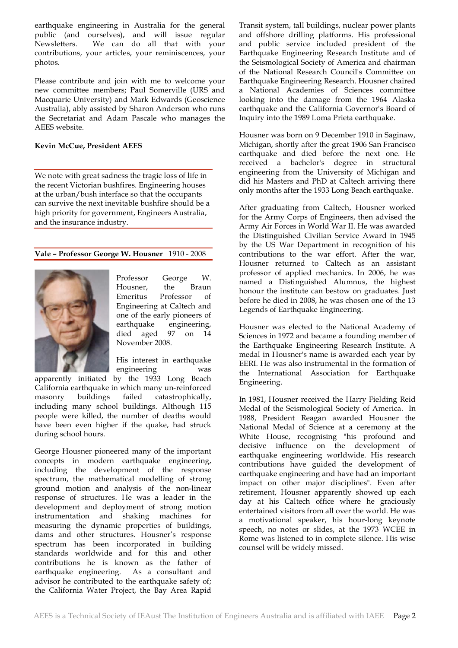earthquake engineering in Australia for the general public (and ourselves), and will issue regular Newsletters. We can do all that with your contributions, your articles, your reminiscences, your photos.

Please contribute and join with me to welcome your new committee members; Paul Somerville (URS and Macquarie University) and Mark Edwards (Geoscience Australia), ably assisted by Sharon Anderson who runs the Secretariat and Adam Pascale who manages the AEES website.

#### **Kevin McCue, President AEES**

We note with great sadness the tragic loss of life in the recent Victorian bushfires. Engineering houses at the urban/bush interface so that the occupants can survive the next inevitable bushfire should be a high priority for government, Engineers Australia, and the insurance industry.

**Vale – Professor George W. Housner** 1910 - 2008



Professor George W. Housner, the Braun Emeritus Professor of Engineering at Caltech and one of the early pioneers of earthquake engineering, died aged 97 on 14 November 2008.

His interest in earthquake engineering was

apparently initiated by the 1933 Long Beach California earthquake in which many un-reinforced masonry buildings failed catastrophically, including many school buildings. Although 115 people were killed, the number of deaths would have been even higher if the quake, had struck during school hours.

George Housner pioneered many of the important concepts in modern earthquake engineering, including the development of the response spectrum, the mathematical modelling of strong ground motion and analysis of the non-linear response of structures. He was a leader in the development and deployment of strong motion instrumentation and shaking machines for measuring the dynamic properties of buildings, dams and other structures. Housner's response spectrum has been incorporated in building standards worldwide and for this and other contributions he is known as the father of earthquake engineering. As a consultant and advisor he contributed to the earthquake safety of; the California Water Project, the Bay Area Rapid Transit system, tall buildings, nuclear power plants and offshore drilling platforms. His professional and public service included president of the Earthquake Engineering Research Institute and of the Seismological Society of America and chairman of the National Research Council's Committee on Earthquake Engineering Research. Housner chaired a National Academies of Sciences committee looking into the damage from the 1964 Alaska earthquake and the California Governor's Board of Inquiry into the 1989 Loma Prieta earthquake.

Housner was born on 9 December 1910 in Saginaw, Michigan, shortly after the great 1906 San Francisco earthquake and died before the next one. He received a bachelor's degree in structural engineering from the University of Michigan and did his Masters and PhD at Caltech arriving there only months after the 1933 Long Beach earthquake.

After graduating from Caltech, Housner worked for the Army Corps of Engineers, then advised the Army Air Forces in World War II. He was awarded the Distinguished Civilian Service Award in 1945 by the US War Department in recognition of his contributions to the war effort. After the war, Housner returned to Caltech as an assistant professor of applied mechanics. In 2006, he was named a Distinguished Alumnus, the highest honour the institute can bestow on graduates. Just before he died in 2008, he was chosen one of the 13 Legends of Earthquake Engineering.

Housner was elected to the National Academy of Sciences in 1972 and became a founding member of the Earthquake Engineering Research Institute. A medal in Housner's name is awarded each year by EERI. He was also instrumental in the formation of the International Association for Earthquake Engineering.

In 1981, Housner received the Harry Fielding Reid Medal of the Seismological Society of America. In 1988, President Reagan awarded Housner the National Medal of Science at a ceremony at the White House, recognising "his profound and decisive influence on the development of earthquake engineering worldwide. His research contributions have guided the development of earthquake engineering and have had an important impact on other major disciplines". Even after retirement, Housner apparently showed up each day at his Caltech office where he graciously entertained visitors from all over the world. He was a motivational speaker, his hour-long keynote speech, no notes or slides, at the 1973 WCEE in Rome was listened to in complete silence. His wise counsel will be widely missed.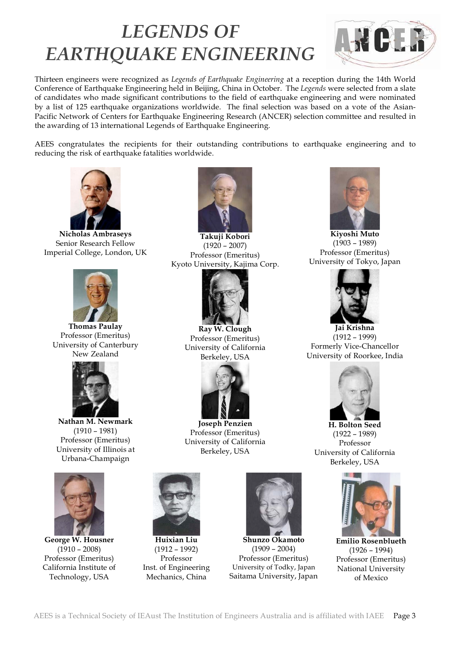## *LEGENDS OF EARTHQUAKE ENGINEERING*



Thirteen engineers were recognized as *Legends of Earthquake Engineering* at a reception during the 14th World Conference of Earthquake Engineering held in Beijing, China in October. The *Legends* were selected from a slate of candidates who made significant contributions to the field of earthquake engineering and were nominated by a list of 125 earthquake organizations worldwide. The final selection was based on a vote of the Asian-Pacific Network of Centers for Earthquake Engineering Research (ANCER) selection committee and resulted in the awarding of 13 international Legends of Earthquake Engineering.

AEES congratulates the recipients for their outstanding contributions to earthquake engineering and to reducing the risk of earthquake fatalities worldwide.



**Nicholas Ambraseys** Senior Research Fellow Imperial College, London, UK



**Thomas Paulay** Professor (Emeritus) University of Canterbury New Zealand



**Nathan M. Newmark** (1910 – 1981) Professor (Emeritus) University of Illinois at Urbana-Champaign



**George W. Housner** (1910 – 2008) Professor (Emeritus) California Institute of Technology, USA



**Takuji Kobori**  $(1920 - 2007)$ Professor (Emeritus) Kyoto University, Kajima Corp.



**Ray W. Clough** Professor (Emeritus) University of California Berkeley, USA



**Joseph Penzien** Professor (Emeritus) University of California Berkeley, USA



**Huixian Liu** (1912 – 1992) Professor Inst. of Engineering Mechanics, China



**Shunzo Okamoto** (1909 – 2004) Professor (Emeritus) University of Todky, Japan Saitama University, Japan



**Kiyoshi Muto**  $(1903 - 1989)$ Professor (Emeritus) University of Tokyo, Japan



**Jai Krishna** (1912 – 1999) Formerly Vice-Chancellor University of Roorkee, India



(1922 – 1989) Professor University of California Berkeley, USA



**Emilio Rosenblueth** (1926 – 1994) Professor (Emeritus) National University of Mexico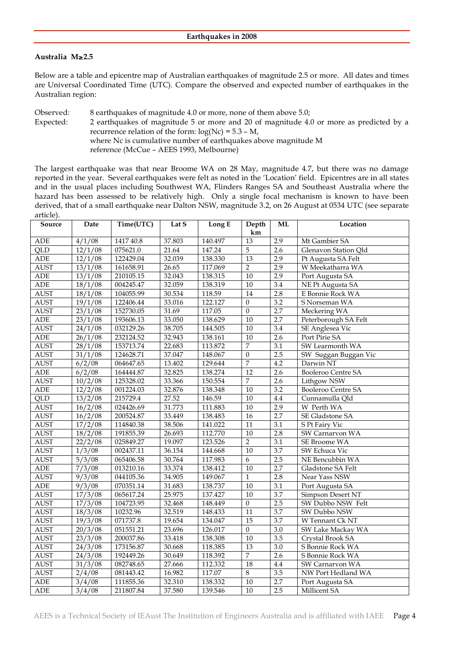#### **Australia M**≥**2.5**

Below are a table and epicentre map of Australian earthquakes of magnitude 2.5 or more. All dates and times are Universal Coordinated Time (UTC). Compare the observed and expected number of earthquakes in the Australian region:

Observed: 8 earthquakes of magnitude 4.0 or more, none of them above 5.0; Expected: 2 earthquakes of magnitude 5 or more and 20 of magnitude 4.0 or more as predicted by a recurrence relation of the form:  $log(Nc) = 5.3 - M$ , where Nc is cumulative number of earthquakes above magnitude M reference (McCue – AEES 1993, Melbourne)

The largest earthquake was that near Broome WA on 28 May, magnitude 4.7, but there was no damage reported in the year. Several earthquakes were felt as noted in the 'Location' field. Epicentres are in all states and in the usual places including Southwest WA, Flinders Ranges SA and Southeast Australia where the hazard has been assessed to be relatively high. Only a single focal mechanism is known to have been derived, that of a small earthquake near Dalton NSW, magnitude 3.2, on 26 August at 0534 UTC (see separate article).

| <b>Source</b> | Date                 | Time(UTC) | Lat S  | Long E  | Depth            | ML               | Location                  |
|---------------|----------------------|-----------|--------|---------|------------------|------------------|---------------------------|
|               |                      |           |        | 140.497 | km<br>13         |                  |                           |
| <b>ADE</b>    | 4/1/08               | 1417 40.8 | 37.803 |         | $\overline{5}$   | 2.9              | Mt Gambier SA             |
| QLD           | $12/1/\overline{08}$ | 075621.0  | 21.64  | 147.24  |                  | 2.6              | Glenavon Station Qld      |
| <b>ADE</b>    | 12/1/08              | 122429.04 | 32.039 | 138.330 | 13               | 2.9              | Pt Augusta SA Felt        |
| <b>AUST</b>   | 13/1/08              | 161658.91 | 26.65  | 117.069 | $\overline{2}$   | 2.9              | W Meekatharra WA          |
| ADE           | 13/1/08              | 210105.15 | 32.043 | 138.315 | 10               | 2.9              | Port Augusta SA           |
| <b>ADE</b>    | 18/1/08              | 004245.47 | 32.059 | 138.319 | $\overline{10}$  | $\overline{3.4}$ | NE Pt Augusta SA          |
| <b>AUST</b>   | 18/1/08              | 104055.99 | 30.534 | 118.59  | 14               | 2.8              | E Bonnie Rock WA          |
| <b>AUST</b>   | 19/1/08              | 122406.44 | 33.016 | 122.127 | $\overline{0}$   | $\overline{3.2}$ | S Norseman WA             |
| <b>AUST</b>   | 23/1/08              | 152730.05 | 31.69  | 117.05  | $\mathbf{0}$     | 2.7              | Meckering WA              |
| <b>ADE</b>    | 23/1/08              | 193606.13 | 33.050 | 138.629 | $\overline{10}$  | 2.7              | Peterborough SA Felt      |
| <b>AUST</b>   | 24/1/08              | 032129.26 | 38.705 | 144.505 | $\overline{10}$  | 3.4              | SE Anglesea Vic           |
| <b>ADE</b>    | 26/1/08              | 232124.52 | 32.943 | 138.161 | 10               | 2.6              | Port Pirie SA             |
| <b>AUST</b>   | 28/1/08              | 153713.74 | 22.683 | 113.872 | $\overline{7}$   | 3.1              | SW Learmonth WA           |
| <b>AUST</b>   | 31/1/08              | 124628.71 | 37.047 | 148.067 | $\overline{0}$   | 2.5              | SW Suggan Buggan Vic      |
| <b>AUST</b>   | 6/2/08               | 064647.65 | 13.402 | 129.644 | $\overline{7}$   | 4.2              | Darwin NT                 |
| ADE           | 6/2/08               | 164444.87 | 32.825 | 138.274 | 12               | 2.6              | <b>Booleroo Centre SA</b> |
| <b>AUST</b>   | 10/2/08              | 125328.02 | 33.366 | 150.554 | $\overline{7}$   | 2.6              | Lithgow NSW               |
| <b>ADE</b>    | 12/2/08              | 001224.03 | 32.876 | 138.348 | 10               | $\overline{3.2}$ | <b>Booleroo Centre SA</b> |
| QLD           | 13/2/08              | 215729.4  | 27.52  | 146.59  | 10               | 4.4              | Cunnamulla Qld            |
| <b>AUST</b>   | 16/2/08              | 024426.69 | 31.773 | 111.883 | 10               | 2.9              | W Perth WA                |
| <b>AUST</b>   | 16/2/08              | 200524.87 | 33.449 | 138.483 | $\overline{16}$  | 2.7              | SE Gladstone SA           |
| <b>AUST</b>   | 17/2/08              | 114840.38 | 38.506 | 141.022 | 11               | $\overline{3.1}$ | S Pt Fairy Vic            |
| <b>AUST</b>   | 18/2/08              | 191855.39 | 26.693 | 112.770 | $\overline{10}$  | 2.8              | <b>SW Carnarvon WA</b>    |
| <b>AUST</b>   | 22/2/08              | 025849.27 | 19.097 | 123.526 | $\sqrt{2}$       | 3.1              | SE Broome WA              |
| <b>AUST</b>   | 1/3/08               | 002437.11 | 36.154 | 144.668 | 10               | $\overline{3.7}$ | SW Echuca Vic             |
| <b>AUST</b>   | 5/3/08               | 065406.58 | 30.764 | 117.983 | 6                | 2.5              | NE Bencubbin WA           |
| <b>ADE</b>    | 7/3/08               | 013210.16 | 33.374 | 138.412 | $\overline{10}$  | 2.7              | Gladstone SA Felt         |
| <b>AUST</b>   | 9/3/08               | 044105.36 | 34.905 | 149.067 | $\,1$            | $2.\overline{8}$ | Near Yass NSW             |
| <b>ADE</b>    | 9/3/08               | 070351.14 | 31.683 | 138.737 | 10               | 3.1              | Port Augusta SA           |
| <b>AUST</b>   | 17/3/08              | 065617.24 | 25.975 | 137.427 | $\overline{10}$  | $\overline{3.7}$ | Simpson Desert NT         |
| <b>AUST</b>   | 17/3/08              | 104723.95 | 32.468 | 148.449 | $\boldsymbol{0}$ | $\overline{2.5}$ | SW Dubbo NSW Felt         |
| <b>AUST</b>   | 18/3/08              | 10232.96  | 32.519 | 148.433 | 11               | 3.7              | SW Dubbo NSW              |
| <b>AUST</b>   | 19/3/08              | 071737.8  | 19.654 | 134.047 | $\overline{15}$  | $\overline{3.7}$ | W Tennant Ck NT           |
| <b>AUST</b>   | 20/3/08              | 051551.21 | 23.696 | 126.017 | $\mathbf{0}$     | 3.0              | SW Lake Mackay WA         |
| <b>AUST</b>   | 23/3/08              | 200037.86 | 33.418 | 138.308 | $\overline{10}$  | $\overline{3.5}$ | Crystal Brook SA          |
| <b>AUST</b>   | 24/3/08              | 173156.87 | 30.668 | 118.385 | 13               | 3.0              | S Bonnie Rock WA          |
| <b>AUST</b>   | $24/3/\overline{08}$ | 192449.26 | 30.649 | 118.392 | $\overline{7}$   | $\overline{2.6}$ | S Bonnie Rock WA          |
| <b>AUST</b>   | 31/3/08              | 082748.65 | 27.666 | 112.332 | 18               | 4.4              | SW Carnarvon WA           |
| <b>AUST</b>   | 2/4/08               | 081443.42 | 16.982 | 117.07  | $\,8\,$          | 3.5              | NW Port Hedland WA        |
| <b>ADE</b>    | 3/4/08               | 111855.36 | 32.310 | 138.332 | 10               | 2.7              | Port Augusta SA           |
| ADE           | 3/4/08               | 211807.84 | 37.580 | 139.546 | $\overline{10}$  | 2.5              | Millicent SA              |
|               |                      |           |        |         |                  |                  |                           |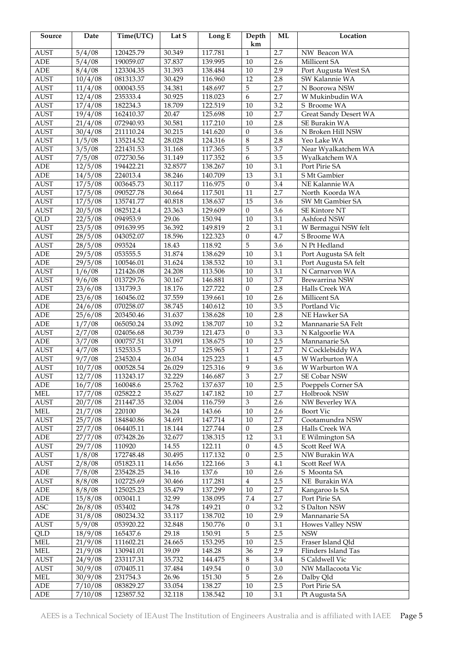| Source                      | Date               | Time(UTC)              | Lat S             | Long E             | Depth<br>km          | ML                                   | Location                          |
|-----------------------------|--------------------|------------------------|-------------------|--------------------|----------------------|--------------------------------------|-----------------------------------|
| <b>AUST</b>                 | 5/4/08             | 120425.79              | 30.349            | 117.781            | $\mathbf{1}$         | 2.7                                  | NW Beacon WA                      |
| ADE                         | 5/4/08             | 190059.07              | 37.837            | 139.995            | 10                   | 2.6                                  | Millicent SA                      |
| ADE                         | 8/4/08             | 123304.35              | 31.393            | 138.484            | $10\,$               | 2.9                                  | Port Augusta West SA              |
| <b>AUST</b>                 | 10/4/08            | 081313.37              | 30.429            | 116.960            | 12                   | 2.8                                  | SW Kalannie WA                    |
| <b>AUST</b>                 | 11/4/08            | 000043.55              | 34.381            | 148.697            | $\overline{5}$       | 2.7                                  | N Boorowa NSW                     |
| <b>AUST</b>                 | 12/4/08            | 235333.4               | 30.925            | 118.023            | 6                    | 2.7                                  | W Mukinbudin WA                   |
| <b>AUST</b>                 | 17/4/08            | 182234.3               | 18.709            | 122.519            | 10                   | 3.2                                  | S Broome WA                       |
| <b>AUST</b>                 | 19/4/08            | 162410.37              | 20.47             | 125.698            | $10\,$               | 2.7                                  | Great Sandy Desert WA             |
| <b>AUST</b>                 | 21/4/08            | 072940.93              | 30.581            | 117.210            | 10                   | 2.8                                  | SE Burakin WA                     |
| <b>AUST</b>                 | 30/4/08            | 211110.24              | 30.215            | 141.620            | $\boldsymbol{0}$     | 3.6                                  | N Broken Hill NSW                 |
| <b>AUST</b>                 | 1/5/08             | 135214.52              | 28.028            | 124.316            | $\,8\,$              | 2.8                                  | Yeo Lake WA                       |
| <b>AUST</b>                 | 3/5/08             | 221431.53              | 31.168            | 117.365            | $\overline{5}$       | $\overline{3.7}$                     | Near Wyalkatchem WA               |
| <b>AUST</b>                 | 7/5/08             | 072730.56              | 31.149<br>32.8577 | 117.352            | $\overline{6}$<br>10 | $\overline{3.5}$<br>$\overline{3.1}$ | Wyalkatchem WA                    |
| ADE<br>$\mbox{ADE}$         | 12/5/08            | 194422.21              | 38.246            | 138.267            | 13                   | $\overline{3.1}$                     | Port Pirie SA                     |
| <b>AUST</b>                 | 14/5/08<br>17/5/08 | 224013.4<br>003645.73  | 30.117            | 140.709<br>116.975 | $\boldsymbol{0}$     | 3.4                                  | S Mt Gambier<br>NE Kalannie WA    |
| <b>AUST</b>                 | 17/5/08            | 090527.78              | 30.664            | 117.501            | 11                   | 2.7                                  | North Koorda WA                   |
| <b>AUST</b>                 | 17/5/08            | 135741.77              | 40.818            | 138.637            | 15                   | 3.6                                  | SW Mt Gambier SA                  |
| <b>AUST</b>                 | 20/5/08            | 082512.4               | 23.363            | 129.609            | $\boldsymbol{0}$     | 3.6                                  | SE Kintore NT                     |
| <b>QLD</b>                  | 22/5/08            | 094953.9               | 29.06             | 150.94             | $10\,$               | 3.1                                  | Ashford NSW                       |
| <b>AUST</b>                 | 23/5/08            | 091639.95              | 36.392            | 149.819            | $\overline{2}$       | 3.1                                  | W Bermagui NSW felt               |
| <b>AUST</b>                 | 28/5/08            | 043052.07              | 18.596            | 122.323            | $\overline{0}$       | 4.7                                  | S Broome WA                       |
| <b>AUST</b>                 | 28/5/08            | 093524                 | 18.43             | 118.92             | $\overline{5}$       | $\overline{3.6}$                     | N Pt Hedland                      |
| ADE                         | 29/5/08            | 053555.5               | 31.874            | 138.629            | 10                   | 3.1                                  | Port Augusta SA felt              |
| ADE                         | 29/5/08            | 100546.01              | 31.624            | 138.532            | $10\,$               | 3.1                                  | Port Augusta SA felt              |
| <b>AUST</b>                 | 1/6/08             | 121426.08              | 24.208            | 113.506            | 10                   | 3.1                                  | N Carnarvon WA                    |
| <b>AUST</b>                 | 9/6/08             | 013729.76              | 30.167            | 146.881            | $10\,$               | 3.7                                  | Brewarrina NSW                    |
| <b>AUST</b>                 | 23/6/08            | 131739.3               | 18.176            | 127.722            | $\boldsymbol{0}$     | 2.8                                  | Halls Creek WA                    |
| ADE                         | 23/6/08            | 160456.02              | 37.559            | 139.661            | $10\,$               | 2.6                                  | Millicent SA                      |
| ADE                         | 24/6/08            | 070258.07              | 38.745            | 140.612            | 10                   | 3.5                                  | Portland Vic                      |
| ADE                         | 25/6/08            | 203450.46              | 31.637            | 138.628            | 10                   | 2.8                                  | NE Hawker SA                      |
| $\mbox{ADE}$                | 1/7/08             | 065050.24              | 33.092            | 138.707            | 10                   | $\overline{3.2}$                     | Mannanarie SA Felt                |
| <b>AUST</b>                 | 2/7/08             | 024056.68              | 30.739            | 121.473            | $\mathbf{0}$         | $\overline{3.3}$                     | N Kalgoorlie WA                   |
| $\mbox{ADE}$                | 3/7/08             | 000757.51              | 33.091            | 138.675            | $10\,$               | 2.5                                  | Mannanarie SA                     |
| <b>AUST</b>                 | 4/7/08             | 152533.5               | 31.7              | 125.965            | $\mathbf{1}$         | 2.7                                  | N Cocklebiddy WA                  |
| <b>AUST</b>                 | 9/7/08             | 234520.4               | 26.034            | 125.223            | $\mathbf{1}$         | 4.5                                  | W Warburton WA                    |
| <b>AUST</b>                 | 10/7/08            | 000528.54              | 26.029            | 125.316            | $\overline{9}$       | 3.6                                  | W Warburton WA                    |
| <b>AUST</b>                 | 12/7/08            | 113243.17              | 32.229            | 146.687            | 3                    | 2.7                                  | SE Cobar NSW                      |
| ADE                         | 16/7/08            | 160048.6               | 25.762            | 137.637            | 10                   | 2.5                                  | Poeppels Corner SA                |
| $\operatorname{MEL}$        | 17/7/08            | 025822.2               | 35.627            | 147.182            | 10                   | 2.7                                  | Holbrook NSW                      |
| <b>AUST</b>                 | 20/7/08            | 211447.35              | 32.004            | 116.759            | $\overline{3}$       | 2.6                                  | NW Beverley WA                    |
| MEL                         | 21/7/08            | 220100                 | 36.24             | 143.66             | 10                   | 2.6                                  | Boort Vic                         |
| <b>AUST</b>                 | 25/7/08            | 184840.86              | 34.691            | 147.714            | $10\,$               | 2.7                                  | Cootamundra NSW                   |
| <b>AUST</b>                 | 27/7/08            | 064405.11              | 18.144            | 127.744            | $\overline{0}$       | 2.8                                  | Halls Creek WA                    |
| ADE                         | 27/7/08            | 073428.26              | 32.677            | 138.315            | 12                   | 3.1                                  | E Wilmington SA                   |
| <b>AUST</b>                 | 29/7/08            | 110920                 | 14.55             | 122.11             | 0                    | 4.5                                  | Scott Reef WA                     |
| <b>AUST</b>                 | 1/8/08             | 172748.48              | 30.495            | 117.132            | $\boldsymbol{0}$     | 2.5                                  | NW Burakin WA                     |
| <b>AUST</b>                 | 2/8/08             | 051823.11              | 14.656            | 122.166            | $\mathfrak{Z}$       | 4.1                                  | Scott Reef WA                     |
| ADE                         | 7/8/08             | 235428.25              | 34.16             | 137.6              | 10                   | 2.6                                  | S Moonta SA                       |
| <b>AUST</b>                 | 8/8/08             | 102725.69              | 30.466            | 117.281            | $\overline{4}$       | 2.5<br>2.7                           | NE Burakin WA                     |
| $\mbox{ADE}$                | 8/8/08             | 125025.23              | 35.479<br>32.99   | 137.299            | $10\,$<br>$7.4\,$    | 2.7                                  | Kangaroo Is SA                    |
| $\mbox{ADE}$<br>ASC         | 15/8/08<br>26/8/08 | 003041.1<br>053402     | 34.78             | 138.095<br>149.21  | $\overline{0}$       | 3.2                                  | Port Pirie SA<br>S Dalton NSW     |
|                             |                    |                        | 33.117            |                    |                      |                                      |                                   |
| $\mbox{ADE}$<br><b>AUST</b> | 31/8/08<br>5/9/08  | 080234.32<br>053920.22 | 32.848            | 138.702<br>150.776 | 10<br>0              | 2.9<br>3.1                           | Mannanarie SA<br>Howes Valley NSW |
| QLD                         | 18/9/08            | 165437.6               | 29.18             | 150.91             | $\overline{5}$       | 2.5                                  | <b>NSW</b>                        |
| $\operatorname{MEL}$        | 21/9/08            | 111602.21              | 24.665            | 153.295            | 10                   | 2.5                                  | Fraser Island Qld                 |
| MEL                         | 21/9/08            | 130941.01              | 39.09             | 148.28             | 36                   | 2.9                                  | Flinders Island Tas               |
| <b>AUST</b>                 | 24/9/08            | 233117.31              | 35.732            | 144.475            | 8                    | 3.4                                  | S Caldwell Vic                    |
| <b>AUST</b>                 | 30/9/08            | 070405.11              | 37.484            | 149.54             | $\mathbf{0}$         | 3.0                                  | NW Mallacoota Vic                 |
| MEL                         | 30/9/08            | 231754.3               | 26.96             | 151.30             | $\overline{5}$       | 2.6                                  | Dalby Qld                         |
| $\mbox{ADE}$                | 7/10/08            | 083829.27              | 33.054            | 138.27             | 10                   | 2.5                                  | Port Pirie SA                     |
| ADE                         | 7/10/08            | 123857.52              | 32.118            | 138.542            | 10                   | 3.1                                  | Pt Augusta SA                     |
|                             |                    |                        |                   |                    |                      |                                      |                                   |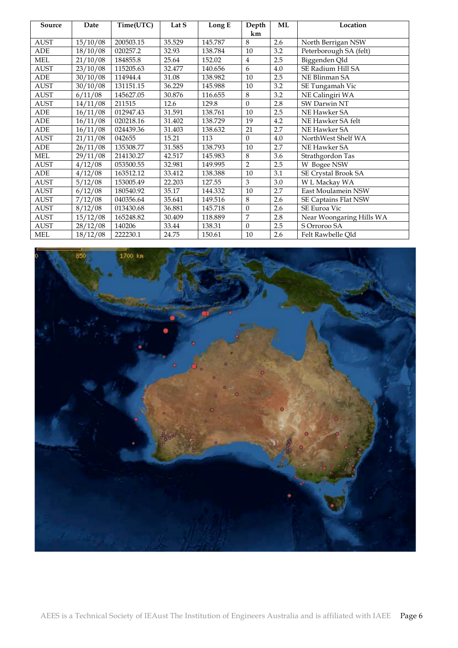| Source               | Date     | Time(UTC) | Lat S  | Long E  | Depth          | ML  | Location                 |
|----------------------|----------|-----------|--------|---------|----------------|-----|--------------------------|
|                      |          |           |        |         | km             |     |                          |
| <b>AUST</b>          | 15/10/08 | 200503.15 | 35.529 | 145.787 | 8              | 2.6 | North Berrigan NSW       |
| <b>ADE</b>           | 18/10/08 | 020257.2  | 32.93  | 138.784 | 10             | 3.2 | Peterborough SA (felt)   |
| $\operatorname{MEL}$ | 21/10/08 | 184855.8  | 25.64  | 152.02  | $\overline{4}$ | 2.5 | Biggenden Qld            |
| <b>AUST</b>          | 23/10/08 | 115205.63 | 32.477 | 140.656 | 6              | 4.0 | SE Radium Hill SA        |
| ADE                  | 30/10/08 | 114944.4  | 31.08  | 138.982 | 10             | 2.5 | NE Blinman SA            |
| <b>AUST</b>          | 30/10/08 | 131151.15 | 36.229 | 145.988 | 10             | 3.2 | SE Tungamah Vic          |
| <b>AUST</b>          | 6/11/08  | 145627.05 | 30.876 | 116.655 | 8              | 3.2 | NE Calingiri WA          |
| <b>AUST</b>          | 14/11/08 | 211515    | 12.6   | 129.8   | $\Omega$       | 2.8 | SW Darwin NT             |
| ADE                  | 16/11/08 | 012947.43 | 31.591 | 138.761 | 10             | 2.5 | NE Hawker SA             |
| ADE                  | 16/11/08 | 020218.16 | 31.402 | 138.729 | 19             | 4.2 | NE Hawker SA felt        |
| ADE                  | 16/11/08 | 024439.36 | 31.403 | 138.632 | 21             | 2.7 | NE Hawker SA             |
| <b>AUST</b>          | 21/11/08 | 042655    | 15.21  | 113     | $\Omega$       | 4.0 | NorthWest Shelf WA       |
| ADE                  | 26/11/08 | 135308.77 | 31.585 | 138.793 | 10             | 2.7 | NE Hawker SA             |
| <b>MEL</b>           | 29/11/08 | 214130.27 | 42.517 | 145.983 | 8              | 3.6 | Strathgordon Tas         |
| <b>AUST</b>          | 4/12/08  | 053500.55 | 32.981 | 149.995 | $\overline{2}$ | 2.5 | W Bogee NSW              |
| ADE                  | 4/12/08  | 163512.12 | 33.412 | 138.388 | 10             | 3.1 | SE Crystal Brook SA      |
| <b>AUST</b>          | 5/12/08  | 153005.49 | 22.203 | 127.55  | 3              | 3.0 | W L Mackay WA            |
| <b>AUST</b>          | 6/12/08  | 180540.92 | 35.17  | 144.332 | 10             | 2.7 | East Moulamein NSW       |
| <b>AUST</b>          | 7/12/08  | 040356.64 | 35.641 | 149.516 | 8              | 2.6 | SE Captains Flat NSW     |
| <b>AUST</b>          | 8/12/08  | 013430.68 | 36.881 | 145.718 | $\Omega$       | 2.6 | SE Euroa Vic             |
| <b>AUST</b>          | 15/12/08 | 165248.82 | 30.409 | 118.889 | 7              | 2.8 | Near Woongaring Hills WA |
| <b>AUST</b>          | 28/12/08 | 140206    | 33.44  | 138.31  | $\Omega$       | 2.5 | S Orroroo SA             |
| <b>MEL</b>           | 18/12/08 | 222230.1  | 24.75  | 150.61  | 10             | 2.6 | Felt Rawbelle Qld        |

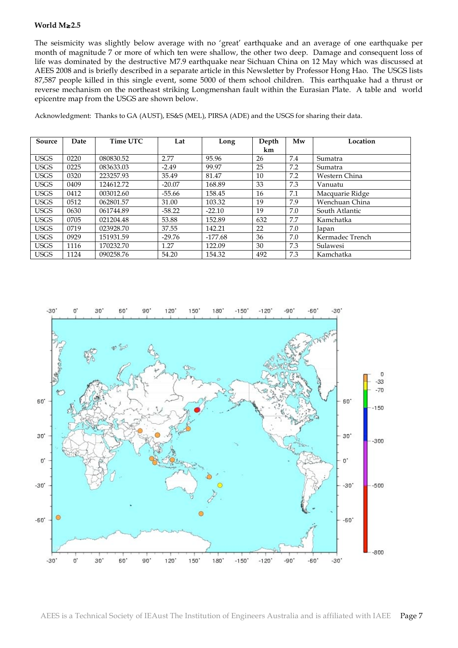#### **World M**≥**2.5**

The seismicity was slightly below average with no 'great' earthquake and an average of one earthquake per month of magnitude 7 or more of which ten were shallow, the other two deep. Damage and consequent loss of life was dominated by the destructive M7.9 earthquake near Sichuan China on 12 May which was discussed at AEES 2008 and is briefly described in a separate article in this Newsletter by Professor Hong Hao. The USGS lists 87,587 people killed in this single event, some 5000 of them school children. This earthquake had a thrust or reverse mechanism on the northeast striking Longmenshan fault within the Eurasian Plate. A table and world epicentre map from the USGS are shown below.

| Source      | Date | Time UTC  | Lat      | Long      | Depth | Mw  | Location        |
|-------------|------|-----------|----------|-----------|-------|-----|-----------------|
|             |      |           |          |           | km    |     |                 |
| <b>USGS</b> | 0220 | 080830.52 | 2.77     | 95.96     | 26    | 7.4 | Sumatra         |
| <b>USGS</b> | 0225 | 083633.03 | $-2.49$  | 99.97     | 25    | 7.2 | Sumatra         |
| <b>USGS</b> | 0320 | 223257.93 | 35.49    | 81.47     | 10    | 7.2 | Western China   |
| <b>USGS</b> | 0409 | 124612.72 | $-20.07$ | 168.89    | 33    | 7.3 | Vanuatu         |
| <b>USGS</b> | 0412 | 003012.60 | $-55.66$ | 158.45    | 16    | 7.1 | Macquarie Ridge |
| <b>USGS</b> | 0512 | 062801.57 | 31.00    | 103.32    | 19    | 7.9 | Wenchuan China  |
| <b>USGS</b> | 0630 | 061744.89 | $-58.22$ | $-22.10$  | 19    | 7.0 | South Atlantic  |
| <b>USGS</b> | 0705 | 021204.48 | 53.88    | 152.89    | 632   | 7.7 | Kamchatka       |
| <b>USGS</b> | 0719 | 023928.70 | 37.55    | 142.21    | 22    | 7.0 | apan            |
| <b>USGS</b> | 0929 | 151931.59 | $-29.76$ | $-177.68$ | 36    | 7.0 | Kermadec Trench |
| <b>USGS</b> | 1116 | 170232.70 | 1.27     | 122.09    | 30    | 7.3 | Sulawesi        |
| <b>USGS</b> | 1124 | 090258.76 | 54.20    | 154.32    | 492   | 7.3 | Kamchatka       |

Acknowledgment: Thanks to GA (AUST), ES&S (MEL), PIRSA (ADE) and the USGS for sharing their data.

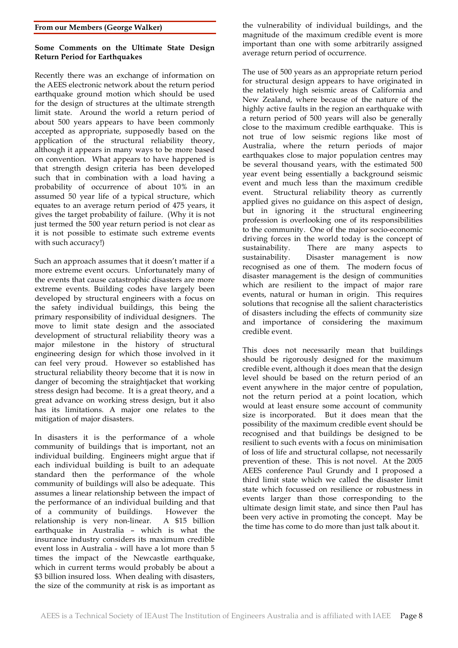#### **From our Members (George Walker)**

#### **Some Comments on the Ultimate State Design Return Period for Earthquakes**

Recently there was an exchange of information on the AEES electronic network about the return period earthquake ground motion which should be used for the design of structures at the ultimate strength limit state. Around the world a return period of about 500 years appears to have been commonly accepted as appropriate, supposedly based on the application of the structural reliability theory, although it appears in many ways to be more based on convention. What appears to have happened is that strength design criteria has been developed such that in combination with a load having a probability of occurrence of about 10% in an assumed 50 year life of a typical structure, which equates to an average return period of 475 years, it gives the target probability of failure. (Why it is not just termed the 500 year return period is not clear as it is not possible to estimate such extreme events with such accuracy!)

Such an approach assumes that it doesn't matter if a more extreme event occurs. Unfortunately many of the events that cause catastrophic disasters are more extreme events. Building codes have largely been developed by structural engineers with a focus on the safety individual buildings, this being the primary responsibility of individual designers. The move to limit state design and the associated development of structural reliability theory was a major milestone in the history of structural engineering design for which those involved in it can feel very proud. However so established has structural reliability theory become that it is now in danger of becoming the straightjacket that working stress design had become. It is a great theory, and a great advance on working stress design, but it also has its limitations. A major one relates to the mitigation of major disasters.

In disasters it is the performance of a whole community of buildings that is important, not an individual building. Engineers might argue that if each individual building is built to an adequate standard then the performance of the whole community of buildings will also be adequate. This assumes a linear relationship between the impact of the performance of an individual building and that of a community of buildings. However the relationship is very non-linear. A \$15 billion earthquake in Australia – which is what the insurance industry considers its maximum credible event loss in Australia - will have a lot more than 5 times the impact of the Newcastle earthquake, which in current terms would probably be about a \$3 billion insured loss. When dealing with disasters, the size of the community at risk is as important as

the vulnerability of individual buildings, and the magnitude of the maximum credible event is more important than one with some arbitrarily assigned average return period of occurrence.

The use of 500 years as an appropriate return period for structural design appears to have originated in the relatively high seismic areas of California and New Zealand, where because of the nature of the highly active faults in the region an earthquake with a return period of 500 years will also be generally close to the maximum credible earthquake. This is not true of low seismic regions like most of Australia, where the return periods of major earthquakes close to major population centres may be several thousand years, with the estimated 500 year event being essentially a background seismic event and much less than the maximum credible event. Structural reliability theory as currently applied gives no guidance on this aspect of design, but in ignoring it the structural engineering profession is overlooking one of its responsibilities to the community. One of the major socio-economic driving forces in the world today is the concept of sustainability. There are many aspects to sustainability. Disaster management is now recognised as one of them. The modern focus of disaster management is the design of communities which are resilient to the impact of major rare events, natural or human in origin. This requires solutions that recognise all the salient characteristics of disasters including the effects of community size and importance of considering the maximum credible event.

This does not necessarily mean that buildings should be rigorously designed for the maximum credible event, although it does mean that the design level should be based on the return period of an event anywhere in the major centre of population, not the return period at a point location, which would at least ensure some account of community size is incorporated. But it does mean that the possibility of the maximum credible event should be recognised and that buildings be designed to be resilient to such events with a focus on minimisation of loss of life and structural collapse, not necessarily prevention of these. This is not novel. At the 2005 AEES conference Paul Grundy and I proposed a third limit state which we called the disaster limit state which focussed on resilience or robustness in events larger than those corresponding to the ultimate design limit state, and since then Paul has been very active in promoting the concept. May be the time has come to do more than just talk about it.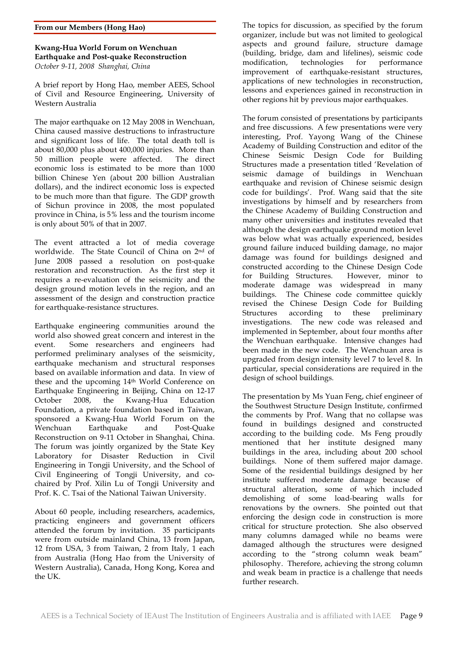**Kwang-Hua World Forum on Wenchuan Earthquake and Post-quake Reconstruction** *October 9-11, 2008 Shanghai, China*

A brief report by Hong Hao, member AEES, School of Civil and Resource Engineering, University of Western Australia

The major earthquake on 12 May 2008 in Wenchuan, China caused massive destructions to infrastructure and significant loss of life. The total death toll is about 80,000 plus about 400,000 injuries. More than 50 million people were affected. The direct economic loss is estimated to be more than 1000 billion Chinese Yen (about 200 billion Australian dollars), and the indirect economic loss is expected to be much more than that figure. The GDP growth of Sichun province in 2008, the most populated province in China, is 5% less and the tourism income is only about 50% of that in 2007.

The event attracted a lot of media coverage worldwide. The State Council of China on 2nd of June 2008 passed a resolution on post-quake restoration and reconstruction. As the first step it requires a re-evaluation of the seismicity and the design ground motion levels in the region, and an assessment of the design and construction practice for earthquake-resistance structures.

Earthquake engineering communities around the world also showed great concern and interest in the event. Some researchers and engineers had performed preliminary analyses of the seismicity, earthquake mechanism and structural responses based on available information and data. In view of these and the upcoming 14th World Conference on Earthquake Engineering in Beijing, China on 12-17 October 2008, the Kwang-Hua Education Foundation, a private foundation based in Taiwan, sponsored a Kwang-Hua World Forum on the Wenchuan Earthquake and Post-Quake Reconstruction on 9-11 October in Shanghai, China. The forum was jointly organized by the State Key Laboratory for Disaster Reduction in Civil Engineering in Tongji University, and the School of Civil Engineering of Tongji University, and cochaired by Prof. Xilin Lu of Tongji University and Prof. K. C. Tsai of the National Taiwan University.

About 60 people, including researchers, academics, practicing engineers and government officers attended the forum by invitation. 35 participants were from outside mainland China, 13 from Japan, 12 from USA, 3 from Taiwan, 2 from Italy, 1 each from Australia (Hong Hao from the University of Western Australia), Canada, Hong Kong, Korea and the UK.

The topics for discussion, as specified by the forum organizer, include but was not limited to geological aspects and ground failure, structure damage (building, bridge, dam and lifelines), seismic code modification, technologies for performance improvement of earthquake-resistant structures, applications of new technologies in reconstruction, lessons and experiences gained in reconstruction in other regions hit by previous major earthquakes.

The forum consisted of presentations by participants and free discussions. A few presentations were very interesting, Prof. Yayong Wang of the Chinese Academy of Building Construction and editor of the Chinese Seismic Design Code for Building Structures made a presentation titled 'Revelation of seismic damage of buildings in Wenchuan earthquake and revision of Chinese seismic design code for buildings'. Prof. Wang said that the site investigations by himself and by researchers from the Chinese Academy of Building Construction and many other universities and institutes revealed that although the design earthquake ground motion level was below what was actually experienced, besides ground failure induced building damage, no major damage was found for buildings designed and constructed according to the Chinese Design Code for Building Structures. However, minor to moderate damage was widespread in many buildings. The Chinese code committee quickly revised the Chinese Design Code for Building Structures according to these preliminary investigations. The new code was released and implemented in September, about four months after the Wenchuan earthquake. Intensive changes had been made in the new code. The Wenchuan area is upgraded from design intensity level 7 to level 8. In particular, special considerations are required in the design of school buildings.

The presentation by Ms Yuan Feng, chief engineer of the Southwest Structure Design Institute, confirmed the comments by Prof. Wang that no collapse was found in buildings designed and constructed according to the building code. Ms Feng proudly mentioned that her institute designed many buildings in the area, including about 200 school buildings. None of them suffered major damage. Some of the residential buildings designed by her institute suffered moderate damage because of structural alteration, some of which included demolishing of some load-bearing walls for renovations by the owners. She pointed out that enforcing the design code in construction is more critical for structure protection. She also observed many columns damaged while no beams were damaged although the structures were designed according to the "strong column weak beam" philosophy. Therefore, achieving the strong column and weak beam in practice is a challenge that needs further research.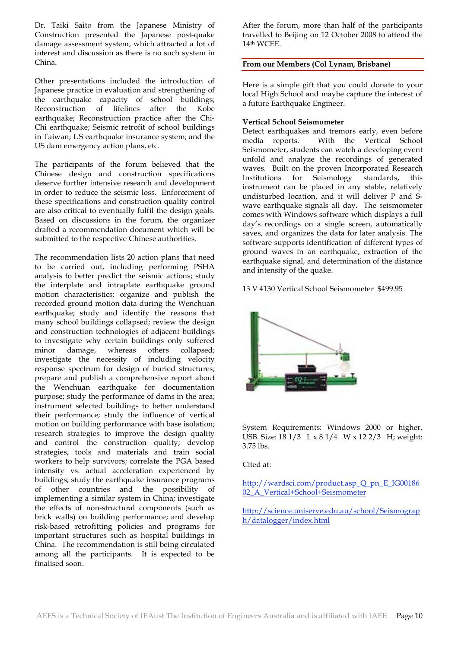Dr. Taiki Saito from the Japanese Ministry of Construction presented the Japanese post-quake damage assessment system, which attracted a lot of interest and discussion as there is no such system in China.

Other presentations included the introduction of Japanese practice in evaluation and strengthening of the earthquake capacity of school buildings; Reconstruction of lifelines after the Kobe earthquake; Reconstruction practice after the Chi-Chi earthquake; Seismic retrofit of school buildings in Taiwan; US earthquake insurance system; and the US dam emergency action plans, etc.

The participants of the forum believed that the Chinese design and construction specifications deserve further intensive research and development in order to reduce the seismic loss. Enforcement of these specifications and construction quality control are also critical to eventually fulfil the design goals. Based on discussions in the forum, the organizer drafted a recommendation document which will be submitted to the respective Chinese authorities.

The recommendation lists 20 action plans that need to be carried out, including performing PSHA analysis to better predict the seismic actions; study the interplate and intraplate earthquake ground motion characteristics; organize and publish the recorded ground motion data during the Wenchuan earthquake; study and identify the reasons that many school buildings collapsed; review the design and construction technologies of adjacent buildings to investigate why certain buildings only suffered minor damage, whereas others collapsed; investigate the necessity of including velocity response spectrum for design of buried structures; prepare and publish a comprehensive report about the Wenchuan earthquake for documentation purpose; study the performance of dams in the area; instrument selected buildings to better understand their performance; study the influence of vertical motion on building performance with base isolation; research strategies to improve the design quality and control the construction quality; develop strategies, tools and materials and train social workers to help survivors; correlate the PGA based intensity vs. actual acceleration experienced by buildings; study the earthquake insurance programs of other countries and the possibility of implementing a similar system in China; investigate the effects of non-structural components (such as brick walls) on building performance; and develop risk-based retrofitting policies and programs for important structures such as hospital buildings in China. The recommendation is still being circulated among all the participants. It is expected to be finalised soon.

After the forum, more than half of the participants travelled to Beijing on 12 October 2008 to attend the 14th WCEE.

#### **From our Members (Col Lynam, Brisbane)**

Here is a simple gift that you could donate to your local High School and maybe capture the interest of a future Earthquake Engineer.

#### **Vertical School Seismometer**

Detect earthquakes and tremors early, even before media reports. With the Vertical School Seismometer, students can watch a developing event unfold and analyze the recordings of generated waves. Built on the proven Incorporated Research Institutions for Seismology standards, this instrument can be placed in any stable, relatively undisturbed location, and it will deliver P and Swave earthquake signals all day. The seismometer comes with Windows software which displays a full day's recordings on a single screen, automatically saves, and organizes the data for later analysis. The software supports identification of different types of ground waves in an earthquake, extraction of the earthquake signal, and determination of the distance and intensity of the quake.

13 V 4130 Vertical School Seismometer \$499.95



System Requirements: Windows 2000 or higher, USB. Size: 18 1/3 L x 8 1/4 W x 12 2/3 H; weight: 3.75 lbs.

#### Cited at:

http://wardsci.com/product.asp\_Q\_pn\_E\_IG00186 02\_A\_Vertical+School+Seismometer

http://science.uniserve.edu.au/school/Seismograp h/datalogger/index.html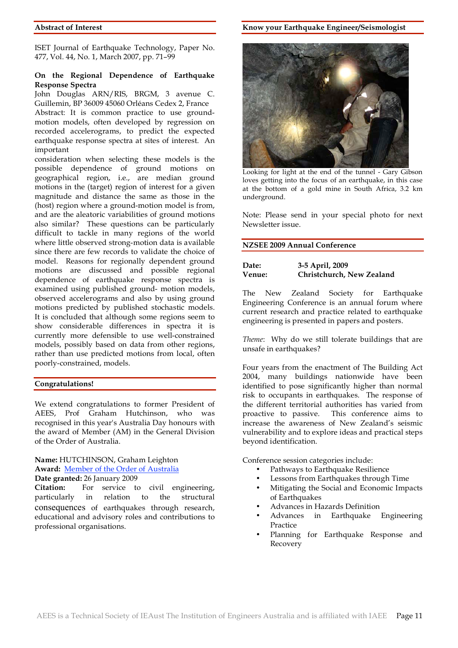#### **Abstract of Interest**

ISET Journal of Earthquake Technology, Paper No. 477, Vol. 44, No. 1, March 2007, pp. 71–99

#### **On the Regional Dependence of Earthquake Response Spectra**

John Douglas ARN/RIS, BRGM, 3 avenue C. Guillemin, BP 36009 45060 Orléans Cedex 2, France Abstract: It is common practice to use groundmotion models, often developed by regression on recorded accelerograms, to predict the expected earthquake response spectra at sites of interest. An important

consideration when selecting these models is the possible dependence of ground motions on geographical region, i.e., are median ground motions in the (target) region of interest for a given magnitude and distance the same as those in the (host) region where a ground-motion model is from, and are the aleatoric variabilities of ground motions also similar? These questions can be particularly difficult to tackle in many regions of the world where little observed strong-motion data is available since there are few records to validate the choice of model. Reasons for regionally dependent ground motions are discussed and possible regional dependence of earthquake response spectra is examined using published ground- motion models, observed accelerograms and also by using ground motions predicted by published stochastic models. It is concluded that although some regions seem to show considerable differences in spectra it is currently more defensible to use well-constrained models, possibly based on data from other regions, rather than use predicted motions from local, often poorly-constrained, models.

#### **Congratulations!**

We extend congratulations to former President of AEES, Prof Graham Hutchinson, who was recognised in this year's Australia Day honours with the award of Member (AM) in the General Division of the Order of Australia.

#### **Name:** HUTCHINSON, Graham Leighton **Award:** Member of the Order of Australia

#### **Date granted:** 26 January 2009

**Citation:** For service to civil engineering, particularly in relation to the structural consequences of earthquakes through research, educational and advisory roles and contributions to professional organisations.

#### **Know your Earthquake Engineer/Seismologist**



Looking for light at the end of the tunnel - Gary Gibson loves getting into the focus of an earthquake, in this case at the bottom of a gold mine in South Africa, 3.2 km underground.

Note: Please send in your special photo for next Newsletter issue.

#### **NZSEE 2009 Annual Conference**

#### **Date: 3-5 April, 2009 Venue: Christchurch, New Zealand**

The New Zealand Society for Earthquake Engineering Conference is an annual forum where current research and practice related to earthquake engineering is presented in papers and posters.

*Theme*: Why do we still tolerate buildings that are unsafe in earthquakes?

Four years from the enactment of The Building Act 2004, many buildings nationwide have been identified to pose significantly higher than normal risk to occupants in earthquakes. The response of the different territorial authorities has varied from proactive to passive. This conference aims to increase the awareness of New Zealand's seismic vulnerability and to explore ideas and practical steps beyond identification.

Conference session categories include:

- Pathways to Earthquake Resilience
- Lessons from Earthquakes through Time
- Mitigating the Social and Economic Impacts of Earthquakes
- Advances in Hazards Definition
- Advances in Earthquake Engineering Practice
- Planning for Earthquake Response and Recovery